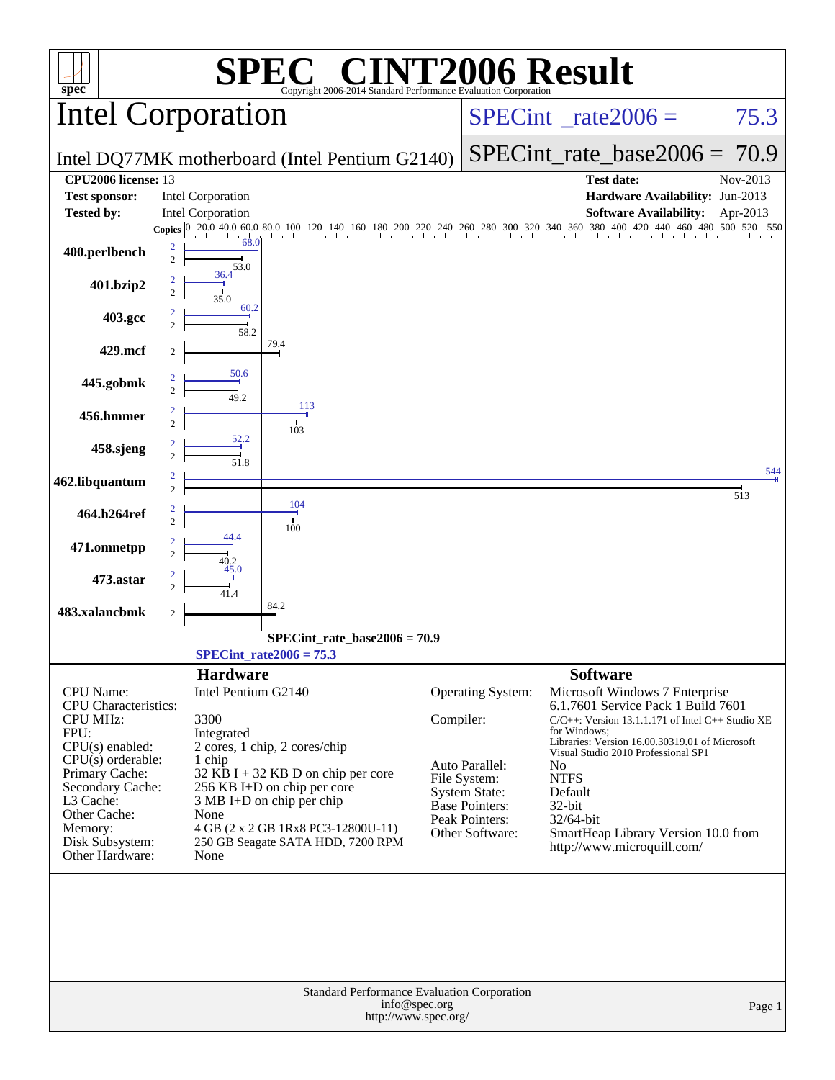| $spec^*$                           |                     |                     | $\blacksquare$<br>Copyright 2006-2014 Standard Performance Evaluation Corporation |               |                                  | <b>NT2006 Result</b>                                                  |                 |
|------------------------------------|---------------------|---------------------|-----------------------------------------------------------------------------------|---------------|----------------------------------|-----------------------------------------------------------------------|-----------------|
| Intel Corporation                  |                     |                     |                                                                                   |               |                                  | $SPECint^{\circ}$ rate $2006 =$                                       | 75.3            |
|                                    |                     |                     | Intel DQ77MK motherboard (Intel Pentium G2140)                                    |               |                                  | $SPECint_rate\_base2006 =$                                            | 70.9            |
| <b>CPU2006</b> license: 13         |                     |                     |                                                                                   |               |                                  | <b>Test date:</b>                                                     | Nov-2013        |
| <b>Test sponsor:</b>               |                     | Intel Corporation   |                                                                                   |               |                                  | Hardware Availability: Jun-2013                                       |                 |
| <b>Tested by:</b>                  |                     | Intel Corporation   |                                                                                   |               |                                  | <b>Software Availability:</b>                                         | Apr-2013        |
|                                    | Copies $ 0\rangle$  | 20.0 40.0<br>60.0   | 80.0                                                                              |               |                                  | 440 460 480 500                                                       | 520<br>550      |
| 400.perlbench                      | 2<br>$\overline{c}$ | 68.0<br>53.0        |                                                                                   |               |                                  |                                                                       |                 |
| 401.bzip2                          | $\overline{2}$      | 36.4<br>35.0        |                                                                                   |               |                                  |                                                                       |                 |
| 403.gcc                            |                     | 60.2<br>58.2        |                                                                                   |               |                                  |                                                                       |                 |
| 429.mcf                            | 2                   |                     | '79.4                                                                             |               |                                  |                                                                       |                 |
| 445.gobmk                          | $\overline{c}$      | 50.6<br>49.2        | 113                                                                               |               |                                  |                                                                       |                 |
| 456.hmmer                          | $\overline{c}$      | 52.2                | 103                                                                               |               |                                  |                                                                       |                 |
| 458.sjeng                          |                     | 51.8                |                                                                                   |               |                                  |                                                                       | 544             |
| 462.libquantum                     | $\overline{c}$      |                     |                                                                                   |               |                                  |                                                                       | $\frac{1}{513}$ |
| 464.h264ref                        | $\overline{c}$      |                     | 104<br>100                                                                        |               |                                  |                                                                       |                 |
| 471.omnetpp                        |                     |                     |                                                                                   |               |                                  |                                                                       |                 |
| 473.astar                          |                     | 45.0<br>41.4        |                                                                                   |               |                                  |                                                                       |                 |
| 483.xalancbmk                      | $\boldsymbol{2}$    |                     | 84.2                                                                              |               |                                  |                                                                       |                 |
|                                    |                     |                     | SPECint_rate_base2006 = 70.9<br>$SPECint_rate2006 = 75.3$                         |               |                                  |                                                                       |                 |
|                                    |                     | <b>Hardware</b>     |                                                                                   |               |                                  | <b>Software</b>                                                       |                 |
| <b>CPU</b> Name:                   |                     | Intel Pentium G2140 |                                                                                   |               | Operating System:                | Microsoft Windows 7 Enterprise                                        |                 |
| <b>CPU</b> Characteristics:        |                     |                     |                                                                                   |               |                                  | 6.1.7601 Service Pack 1 Build 7601                                    |                 |
| <b>CPU MHz:</b><br>FPU:            |                     | 3300                |                                                                                   | Compiler:     |                                  | $C/C++$ : Version 13.1.1.171 of Intel $C++$ Studio XE<br>for Windows: |                 |
| CPU(s) enabled:                    |                     | Integrated          | 2 cores, 1 chip, 2 cores/chip                                                     |               |                                  | Libraries: Version 16.00.30319.01 of Microsoft                        |                 |
| $CPU(s)$ orderable:                |                     | 1 chip              |                                                                                   |               | Auto Parallel:                   | Visual Studio 2010 Professional SP1<br>No                             |                 |
| Primary Cache:                     |                     |                     | $32$ KB I + 32 KB D on chip per core                                              |               | File System:                     | <b>NTFS</b>                                                           |                 |
| Secondary Cache:<br>L3 Cache:      |                     |                     | 256 KB I+D on chip per core<br>$3 MB I+D$ on chip per chip                        |               | <b>System State:</b>             | Default                                                               |                 |
| Other Cache:                       |                     | None                |                                                                                   |               | Base Pointers:<br>Peak Pointers: | 32-bit<br>32/64-bit                                                   |                 |
| Memory:                            |                     |                     | 4 GB (2 x 2 GB 1Rx8 PC3-12800U-11)                                                |               | Other Software:                  | SmartHeap Library Version 10.0 from                                   |                 |
| Disk Subsystem:<br>Other Hardware: |                     | None                | 250 GB Seagate SATA HDD, 7200 RPM                                                 |               |                                  | http://www.microquill.com/                                            |                 |
|                                    |                     |                     |                                                                                   |               |                                  |                                                                       |                 |
|                                    |                     |                     | Standard Performance Evaluation Corporation<br>http://www.spec.org/               | info@spec.org |                                  |                                                                       | Page 1          |
|                                    |                     |                     |                                                                                   |               |                                  |                                                                       |                 |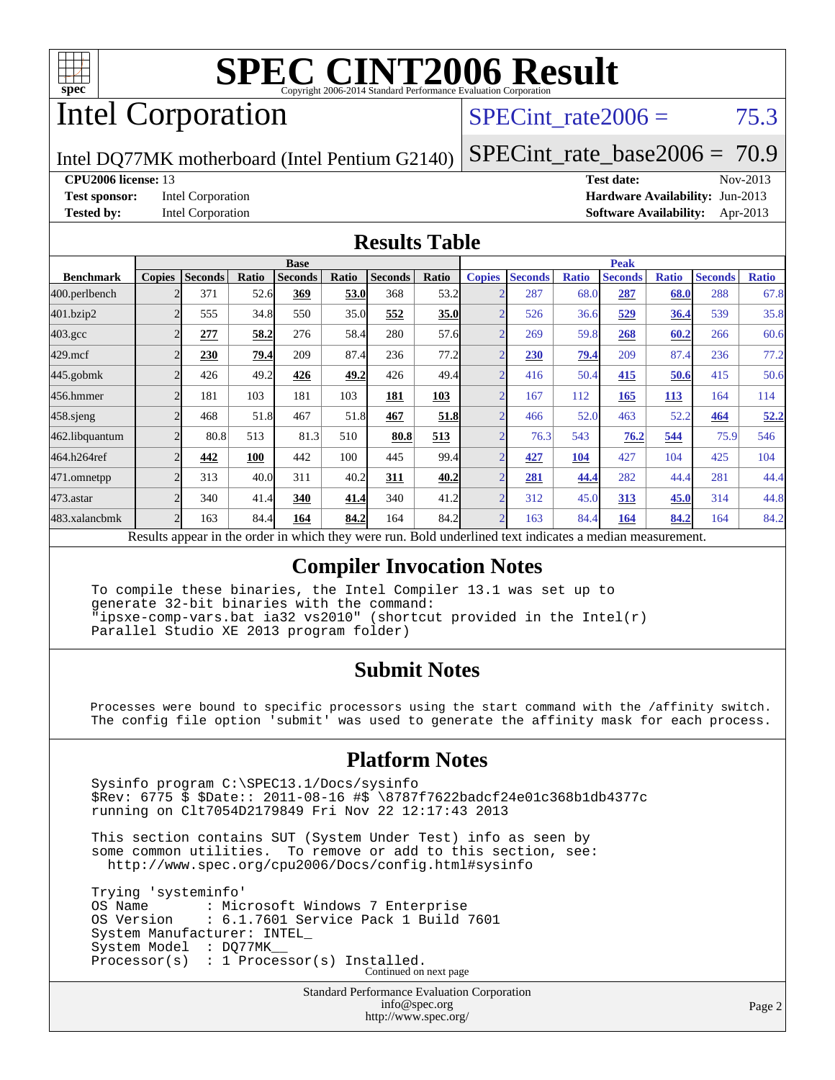

# Intel Corporation

# $SPECTnt_rate2006 = 75.3$

Intel DQ77MK motherboard (Intel Pentium G2140)

[SPECint\\_rate\\_base2006 =](http://www.spec.org/auto/cpu2006/Docs/result-fields.html#SPECintratebase2006) 70.9

#### **[CPU2006 license:](http://www.spec.org/auto/cpu2006/Docs/result-fields.html#CPU2006license)** 13 **[Test date:](http://www.spec.org/auto/cpu2006/Docs/result-fields.html#Testdate)** Nov-2013

**[Test sponsor:](http://www.spec.org/auto/cpu2006/Docs/result-fields.html#Testsponsor)** Intel Corporation **[Hardware Availability:](http://www.spec.org/auto/cpu2006/Docs/result-fields.html#HardwareAvailability)** Jun-2013 **[Tested by:](http://www.spec.org/auto/cpu2006/Docs/result-fields.html#Testedby)** Intel Corporation **[Software Availability:](http://www.spec.org/auto/cpu2006/Docs/result-fields.html#SoftwareAvailability)** Apr-2013

#### **[Results Table](http://www.spec.org/auto/cpu2006/Docs/result-fields.html#ResultsTable)**

|                    | <b>Base</b>    |                |              |                |       |                | <b>Peak</b>               |                          |                 |              |                |              |                |              |
|--------------------|----------------|----------------|--------------|----------------|-------|----------------|---------------------------|--------------------------|-----------------|--------------|----------------|--------------|----------------|--------------|
| <b>Benchmark</b>   | <b>Copies</b>  | <b>Seconds</b> | Ratio        | <b>Seconds</b> | Ratio | <b>Seconds</b> | Ratio                     | <b>Copies</b>            | <b>Seconds</b>  | <b>Ratio</b> | <b>Seconds</b> | <b>Ratio</b> | <b>Seconds</b> | <b>Ratio</b> |
| 400.perlbench      |                | 371            | 52.6         | 369            | 53.0  | 368            | 53.2                      | $\overline{2}$           | 287             | 68.0         | 287            | 68.0         | 288            | 67.8         |
| 401.bzip2          | $\overline{2}$ | 555            | 34.8         | 550            | 35.0  | 552            | 35.0                      | $\overline{2}$           | 526             | 36.6         | 529            | 36.4         | 539            | 35.8         |
| $403.\mathrm{gcc}$ | $\overline{c}$ | 277            | 58.2         | 276            | 58.4  | 280            | 57.6                      | $\overline{2}$           | 269             | 59.8         | 268            | 60.2         | 266            | 60.6         |
| $429$ .mcf         |                | 230            | 79.4         | 209            | 87.4  | 236            | 77.2                      | $\overline{2}$           | 230             | 79.4         | 209            | 87.4         | 236            | 77.2         |
| $445$ .gobm $k$    | $\overline{2}$ | 426            | 49.2         | 426            | 49.2  | 426            | 49.4                      | $\overline{2}$           | 416             | 50.4         | 415            | 50.6         | 415            | 50.6         |
| 456.hmmer          | 2              | 181            | 103          | 181            | 103   | 181            | 103                       | $\overline{2}$           | 167             | 112          | 165            | 113          | 164            | 114          |
| $458$ .sjeng       | $\mathfrak{D}$ | 468            | 51.8         | 467            | 51.8  | 467            | 51.8                      | $\overline{2}$           | 466             | 52.0         | 463            | 52.2         | 464            | 52.2         |
| 462.libquantum     |                | 80.8           | 513          | 81.3           | 510   | 80.8           | 513                       | $\overline{2}$           | 76.3            | 543          | 76.2           | 544          | 75.9           | 546          |
| 464.h264ref        | $\overline{c}$ | 442            | 100          | 442            | 100   | 445            | 99.4                      | $\overline{2}$           | 427             | 104          | 427            | 104          | 425            | 104          |
| 471.omnetpp        | $\overline{2}$ | 313            | 40.0         | 311            | 40.2  | 311            | 40.2                      | $\sim$                   | 281             | 44.4         | 282            | 44.4         | 281            | 44.4         |
| 473.astar          | $\mathfrak{D}$ | 340            | 41.4         | 340            | 41.4  | 340            | 41.2                      | $\overline{\mathcal{L}}$ | 312             | 45.0         | 313            | 45.0         | 314            | 44.8         |
| 483.xalancbmk      | $\overline{2}$ | 163            | 84.4         | 164            | 84.2  | 164            | 84.2                      | $\overline{2}$           | 163             | 84.4         | 164            | 84.2         | 164            | 84.2         |
| $\mathbf{r}$       | $\mathbf{I}$ . |                | $\mathbf{1}$ | 1.1.1.1        |       |                | $\mathbf{r}$ $\mathbf{r}$ |                          | $\cdot$ $\cdot$ |              |                |              |                |              |

Results appear in the [order in which they were run.](http://www.spec.org/auto/cpu2006/Docs/result-fields.html#RunOrder) Bold underlined text [indicates a median measurement.](http://www.spec.org/auto/cpu2006/Docs/result-fields.html#Median)

#### **[Compiler Invocation Notes](http://www.spec.org/auto/cpu2006/Docs/result-fields.html#CompilerInvocationNotes)**

 To compile these binaries, the Intel Compiler 13.1 was set up to generate 32-bit binaries with the command: "ipsxe-comp-vars.bat ia32 vs2010" (shortcut provided in the Intel(r) Parallel Studio XE 2013 program folder)

### **[Submit Notes](http://www.spec.org/auto/cpu2006/Docs/result-fields.html#SubmitNotes)**

 Processes were bound to specific processors using the start command with the /affinity switch. The config file option 'submit' was used to generate the affinity mask for each process.

### **[Platform Notes](http://www.spec.org/auto/cpu2006/Docs/result-fields.html#PlatformNotes)**

 Sysinfo program C:\SPEC13.1/Docs/sysinfo \$Rev: 6775 \$ \$Date:: 2011-08-16 #\$ \8787f7622badcf24e01c368b1db4377c running on Clt7054D2179849 Fri Nov 22 12:17:43 2013

 This section contains SUT (System Under Test) info as seen by some common utilities. To remove or add to this section, see: <http://www.spec.org/cpu2006/Docs/config.html#sysinfo>

 Trying 'systeminfo' OS Name : Microsoft Windows 7 Enterprise<br>OS Version : 6.1.7601 Service Pack 1 Build : 6.1.7601 Service Pack 1 Build 7601 System Manufacturer: INTEL\_ System Model : DO77MK Processor(s) : 1 Processor(s) Installed. Continued on next page

> Standard Performance Evaluation Corporation [info@spec.org](mailto:info@spec.org) <http://www.spec.org/>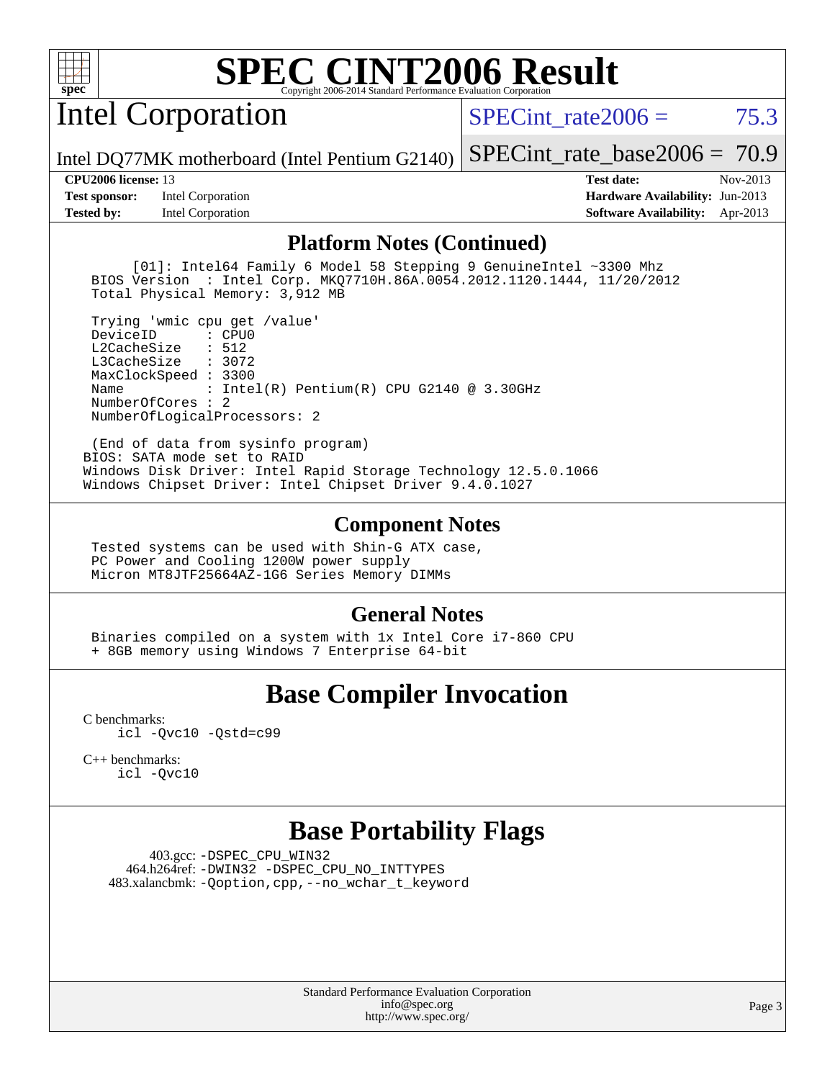

# Intel Corporation

SPECint rate $2006 = 75.3$ 

[SPECint\\_rate\\_base2006 =](http://www.spec.org/auto/cpu2006/Docs/result-fields.html#SPECintratebase2006) 70.9

Intel DQ77MK motherboard (Intel Pentium G2140)

**[Test sponsor:](http://www.spec.org/auto/cpu2006/Docs/result-fields.html#Testsponsor)** Intel Corporation **[Hardware Availability:](http://www.spec.org/auto/cpu2006/Docs/result-fields.html#HardwareAvailability)** Jun-2013 **[Tested by:](http://www.spec.org/auto/cpu2006/Docs/result-fields.html#Testedby)** Intel Corporation **[Software Availability:](http://www.spec.org/auto/cpu2006/Docs/result-fields.html#SoftwareAvailability)** Apr-2013

**[CPU2006 license:](http://www.spec.org/auto/cpu2006/Docs/result-fields.html#CPU2006license)** 13 **[Test date:](http://www.spec.org/auto/cpu2006/Docs/result-fields.html#Testdate)** Nov-2013

#### **[Platform Notes \(Continued\)](http://www.spec.org/auto/cpu2006/Docs/result-fields.html#PlatformNotes)**

 [01]: Intel64 Family 6 Model 58 Stepping 9 GenuineIntel ~3300 Mhz BIOS Version : Intel Corp. MKQ7710H.86A.0054.2012.1120.1444, 11/20/2012 Total Physical Memory: 3,912 MB

 Trying 'wmic cpu get /value' DeviceID L2CacheSize : 512 L3CacheSize : 3072 MaxClockSpeed : 3300 Name : Intel(R) Pentium(R) CPU G2140 @ 3.30GHz NumberOfCores : 2 NumberOfLogicalProcessors: 2

 (End of data from sysinfo program) BIOS: SATA mode set to RAID Windows Disk Driver: Intel Rapid Storage Technology 12.5.0.1066 Windows Chipset Driver: Intel Chipset Driver 9.4.0.1027

#### **[Component Notes](http://www.spec.org/auto/cpu2006/Docs/result-fields.html#ComponentNotes)**

 Tested systems can be used with Shin-G ATX case, PC Power and Cooling 1200W power supply Micron MT8JTF25664AZ-1G6 Series Memory DIMMs

#### **[General Notes](http://www.spec.org/auto/cpu2006/Docs/result-fields.html#GeneralNotes)**

 Binaries compiled on a system with 1x Intel Core i7-860 CPU + 8GB memory using Windows 7 Enterprise 64-bit

## **[Base Compiler Invocation](http://www.spec.org/auto/cpu2006/Docs/result-fields.html#BaseCompilerInvocation)**

[C benchmarks](http://www.spec.org/auto/cpu2006/Docs/result-fields.html#Cbenchmarks): [icl -Qvc10](http://www.spec.org/cpu2006/results/res2014q3/cpu2006-20140701-30227.flags.html#user_CCbase_intel_icc_vc10_9607f3ecbcdf68042245f068e51b40c1) [-Qstd=c99](http://www.spec.org/cpu2006/results/res2014q3/cpu2006-20140701-30227.flags.html#user_CCbase_intel_compiler_c99_mode_1a3d110e3041b3ad4466830521bdad2a)

[C++ benchmarks:](http://www.spec.org/auto/cpu2006/Docs/result-fields.html#CXXbenchmarks) [icl -Qvc10](http://www.spec.org/cpu2006/results/res2014q3/cpu2006-20140701-30227.flags.html#user_CXXbase_intel_icc_vc10_9607f3ecbcdf68042245f068e51b40c1)

## **[Base Portability Flags](http://www.spec.org/auto/cpu2006/Docs/result-fields.html#BasePortabilityFlags)**

 403.gcc: [-DSPEC\\_CPU\\_WIN32](http://www.spec.org/cpu2006/results/res2014q3/cpu2006-20140701-30227.flags.html#b403.gcc_baseCPORTABILITY_DSPEC_CPU_WIN32) 464.h264ref: [-DWIN32](http://www.spec.org/cpu2006/results/res2014q3/cpu2006-20140701-30227.flags.html#b464.h264ref_baseCPORTABILITY_DWIN32) [-DSPEC\\_CPU\\_NO\\_INTTYPES](http://www.spec.org/cpu2006/results/res2014q3/cpu2006-20140701-30227.flags.html#b464.h264ref_baseCPORTABILITY_DSPEC_CPU_NO_INTTYPES) 483.xalancbmk: [-Qoption,cpp,--no\\_wchar\\_t\\_keyword](http://www.spec.org/cpu2006/results/res2014q3/cpu2006-20140701-30227.flags.html#user_baseCXXPORTABILITY483_xalancbmk_f-no_wchar_t_keyword_ec0ad4495a16b4e858bfcb29d949d25d)

> Standard Performance Evaluation Corporation [info@spec.org](mailto:info@spec.org) <http://www.spec.org/>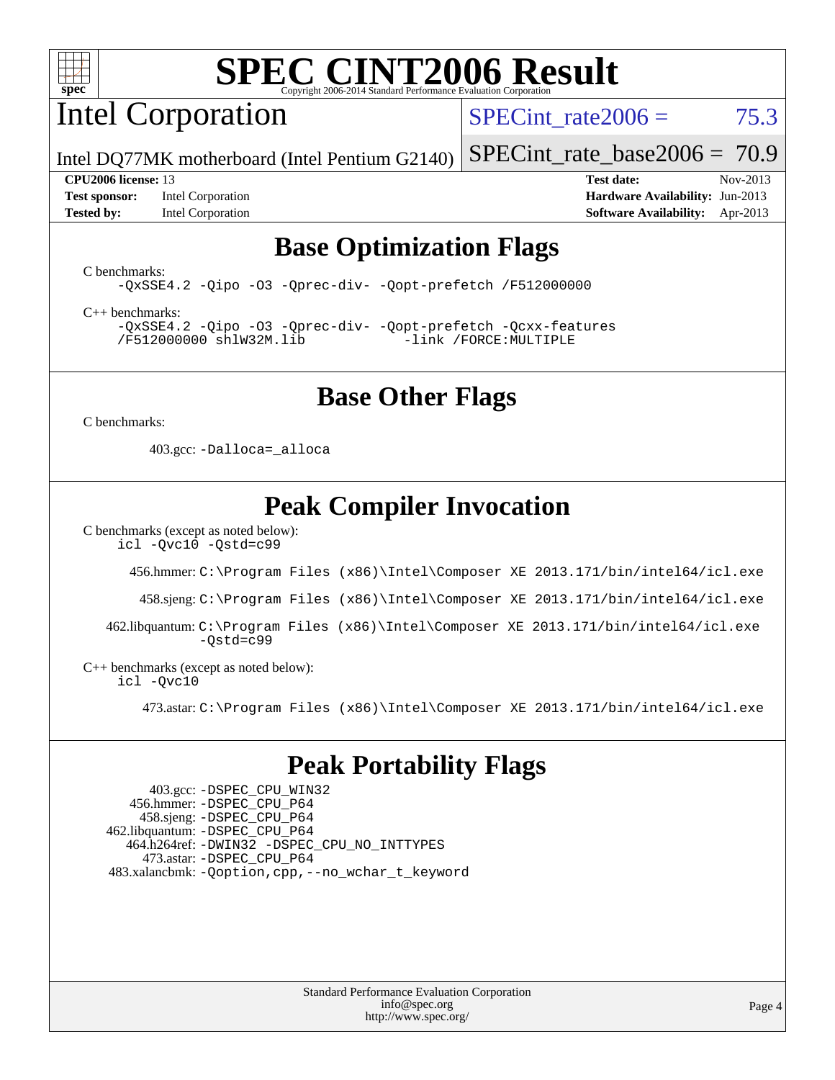

# Intel Corporation

SPECint rate $2006 = 75.3$ 

[SPECint\\_rate\\_base2006 =](http://www.spec.org/auto/cpu2006/Docs/result-fields.html#SPECintratebase2006) 70.9

Intel DQ77MK motherboard (Intel Pentium G2140)

**[Test sponsor:](http://www.spec.org/auto/cpu2006/Docs/result-fields.html#Testsponsor)** Intel Corporation **[Hardware Availability:](http://www.spec.org/auto/cpu2006/Docs/result-fields.html#HardwareAvailability)** Jun-2013 **[Tested by:](http://www.spec.org/auto/cpu2006/Docs/result-fields.html#Testedby)** Intel Corporation **[Software Availability:](http://www.spec.org/auto/cpu2006/Docs/result-fields.html#SoftwareAvailability)** Apr-2013

**[CPU2006 license:](http://www.spec.org/auto/cpu2006/Docs/result-fields.html#CPU2006license)** 13 **[Test date:](http://www.spec.org/auto/cpu2006/Docs/result-fields.html#Testdate)** Nov-2013

## **[Base Optimization Flags](http://www.spec.org/auto/cpu2006/Docs/result-fields.html#BaseOptimizationFlags)**

[C benchmarks](http://www.spec.org/auto/cpu2006/Docs/result-fields.html#Cbenchmarks):

[-QxSSE4.2](http://www.spec.org/cpu2006/results/res2014q3/cpu2006-20140701-30227.flags.html#user_CCbase_f-QxSSE42_372695bbe211719895df0310b324a1ca) [-Qipo](http://www.spec.org/cpu2006/results/res2014q3/cpu2006-20140701-30227.flags.html#user_CCbase_f-Qipo) [-O3](http://www.spec.org/cpu2006/results/res2014q3/cpu2006-20140701-30227.flags.html#user_CCbase_f-O3) [-Qprec-div-](http://www.spec.org/cpu2006/results/res2014q3/cpu2006-20140701-30227.flags.html#user_CCbase_f-Qprec-div-) [-Qopt-prefetch](http://www.spec.org/cpu2006/results/res2014q3/cpu2006-20140701-30227.flags.html#user_CCbase_f-Qprefetch_37c211608666b9dff9380561f602f0a8) [/F512000000](http://www.spec.org/cpu2006/results/res2014q3/cpu2006-20140701-30227.flags.html#user_CCbase_set_stack_space_98438a10eb60aa5f35f4c79d9b9b27b1)

[C++ benchmarks:](http://www.spec.org/auto/cpu2006/Docs/result-fields.html#CXXbenchmarks)

[-QxSSE4.2](http://www.spec.org/cpu2006/results/res2014q3/cpu2006-20140701-30227.flags.html#user_CXXbase_f-QxSSE42_372695bbe211719895df0310b324a1ca) [-Qipo](http://www.spec.org/cpu2006/results/res2014q3/cpu2006-20140701-30227.flags.html#user_CXXbase_f-Qipo) [-O3](http://www.spec.org/cpu2006/results/res2014q3/cpu2006-20140701-30227.flags.html#user_CXXbase_f-O3) [-Qprec-div-](http://www.spec.org/cpu2006/results/res2014q3/cpu2006-20140701-30227.flags.html#user_CXXbase_f-Qprec-div-) [-Qopt-prefetch](http://www.spec.org/cpu2006/results/res2014q3/cpu2006-20140701-30227.flags.html#user_CXXbase_f-Qprefetch_37c211608666b9dff9380561f602f0a8) [-Qcxx-features](http://www.spec.org/cpu2006/results/res2014q3/cpu2006-20140701-30227.flags.html#user_CXXbase_f-Qcxx_features_dbf36c8a6dba956e22f1645e4dcd4d98) [/F512000000](http://www.spec.org/cpu2006/results/res2014q3/cpu2006-20140701-30227.flags.html#user_CXXbase_set_stack_space_98438a10eb60aa5f35f4c79d9b9b27b1) [shlW32M.lib](http://www.spec.org/cpu2006/results/res2014q3/cpu2006-20140701-30227.flags.html#user_CXXbase_SmartHeap32_d106338dfda1a055705c9b519e07f096) [-link /FORCE:MULTIPLE](http://www.spec.org/cpu2006/results/res2014q3/cpu2006-20140701-30227.flags.html#user_CXXbase_link_force_multiple2_070fe330869edf77077b841074b8b0b6)

## **[Base Other Flags](http://www.spec.org/auto/cpu2006/Docs/result-fields.html#BaseOtherFlags)**

[C benchmarks](http://www.spec.org/auto/cpu2006/Docs/result-fields.html#Cbenchmarks):

403.gcc: [-Dalloca=\\_alloca](http://www.spec.org/cpu2006/results/res2014q3/cpu2006-20140701-30227.flags.html#b403.gcc_baseEXTRA_CFLAGS_Dalloca_be3056838c12de2578596ca5467af7f3)

# **[Peak Compiler Invocation](http://www.spec.org/auto/cpu2006/Docs/result-fields.html#PeakCompilerInvocation)**

[C benchmarks \(except as noted below\)](http://www.spec.org/auto/cpu2006/Docs/result-fields.html#Cbenchmarksexceptasnotedbelow):

[icl -Qvc10](http://www.spec.org/cpu2006/results/res2014q3/cpu2006-20140701-30227.flags.html#user_CCpeak_intel_icc_vc10_9607f3ecbcdf68042245f068e51b40c1) [-Qstd=c99](http://www.spec.org/cpu2006/results/res2014q3/cpu2006-20140701-30227.flags.html#user_CCpeak_intel_compiler_c99_mode_1a3d110e3041b3ad4466830521bdad2a)

456.hmmer: [C:\Program Files \(x86\)\Intel\Composer XE 2013.171/bin/intel64/icl.exe](http://www.spec.org/cpu2006/results/res2014q3/cpu2006-20140701-30227.flags.html#user_peakCCLD456_hmmer_intel_icc_64bit_a47adb23ffeeb40a4c72a454746f326c)

458.sjeng: [C:\Program Files \(x86\)\Intel\Composer XE 2013.171/bin/intel64/icl.exe](http://www.spec.org/cpu2006/results/res2014q3/cpu2006-20140701-30227.flags.html#user_peakCCLD458_sjeng_intel_icc_64bit_a47adb23ffeeb40a4c72a454746f326c)

 462.libquantum: [C:\Program Files \(x86\)\Intel\Composer XE 2013.171/bin/intel64/icl.exe](http://www.spec.org/cpu2006/results/res2014q3/cpu2006-20140701-30227.flags.html#user_peakCCLD462_libquantum_intel_icc_64bit_a47adb23ffeeb40a4c72a454746f326c)  $-Ostd=c99$ 

[C++ benchmarks \(except as noted below\):](http://www.spec.org/auto/cpu2006/Docs/result-fields.html#CXXbenchmarksexceptasnotedbelow) [icl -Qvc10](http://www.spec.org/cpu2006/results/res2014q3/cpu2006-20140701-30227.flags.html#user_CXXpeak_intel_icc_vc10_9607f3ecbcdf68042245f068e51b40c1)

473.astar: [C:\Program Files \(x86\)\Intel\Composer XE 2013.171/bin/intel64/icl.exe](http://www.spec.org/cpu2006/results/res2014q3/cpu2006-20140701-30227.flags.html#user_peakCXXLD473_astar_intel_icc_64bit_a47adb23ffeeb40a4c72a454746f326c)

## **[Peak Portability Flags](http://www.spec.org/auto/cpu2006/Docs/result-fields.html#PeakPortabilityFlags)**

 403.gcc: [-DSPEC\\_CPU\\_WIN32](http://www.spec.org/cpu2006/results/res2014q3/cpu2006-20140701-30227.flags.html#b403.gcc_peakCPORTABILITY_DSPEC_CPU_WIN32) 456.hmmer: [-DSPEC\\_CPU\\_P64](http://www.spec.org/cpu2006/results/res2014q3/cpu2006-20140701-30227.flags.html#suite_peakPORTABILITY456_hmmer_DSPEC_CPU_P64) 458.sjeng: [-DSPEC\\_CPU\\_P64](http://www.spec.org/cpu2006/results/res2014q3/cpu2006-20140701-30227.flags.html#suite_peakPORTABILITY458_sjeng_DSPEC_CPU_P64) 462.libquantum: [-DSPEC\\_CPU\\_P64](http://www.spec.org/cpu2006/results/res2014q3/cpu2006-20140701-30227.flags.html#suite_peakPORTABILITY462_libquantum_DSPEC_CPU_P64) 464.h264ref: [-DWIN32](http://www.spec.org/cpu2006/results/res2014q3/cpu2006-20140701-30227.flags.html#b464.h264ref_peakCPORTABILITY_DWIN32) [-DSPEC\\_CPU\\_NO\\_INTTYPES](http://www.spec.org/cpu2006/results/res2014q3/cpu2006-20140701-30227.flags.html#b464.h264ref_peakCPORTABILITY_DSPEC_CPU_NO_INTTYPES) 473.astar: [-DSPEC\\_CPU\\_P64](http://www.spec.org/cpu2006/results/res2014q3/cpu2006-20140701-30227.flags.html#suite_peakPORTABILITY473_astar_DSPEC_CPU_P64) 483.xalancbmk: [-Qoption,cpp,--no\\_wchar\\_t\\_keyword](http://www.spec.org/cpu2006/results/res2014q3/cpu2006-20140701-30227.flags.html#user_peakCXXPORTABILITY483_xalancbmk_f-no_wchar_t_keyword_ec0ad4495a16b4e858bfcb29d949d25d)

> Standard Performance Evaluation Corporation [info@spec.org](mailto:info@spec.org) <http://www.spec.org/>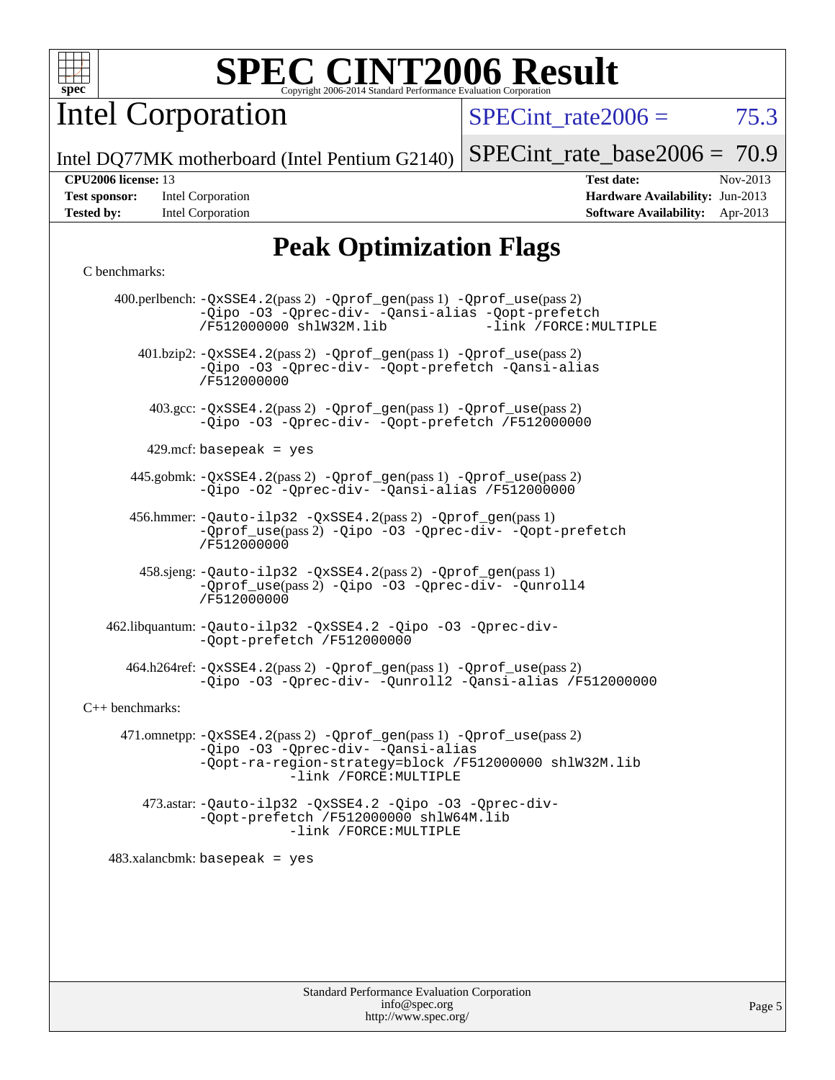

Intel Corporation

SPECint rate $2006 = 75.3$ 

Intel DQ77MK motherboard (Intel Pentium G2140) [SPECint\\_rate\\_base2006 =](http://www.spec.org/auto/cpu2006/Docs/result-fields.html#SPECintratebase2006) 70.9

**[Tested by:](http://www.spec.org/auto/cpu2006/Docs/result-fields.html#Testedby)** Intel Corporation **[Software Availability:](http://www.spec.org/auto/cpu2006/Docs/result-fields.html#SoftwareAvailability)** Apr-2013

**[CPU2006 license:](http://www.spec.org/auto/cpu2006/Docs/result-fields.html#CPU2006license)** 13 **[Test date:](http://www.spec.org/auto/cpu2006/Docs/result-fields.html#Testdate)** Nov-2013 **[Test sponsor:](http://www.spec.org/auto/cpu2006/Docs/result-fields.html#Testsponsor)** Intel Corporation **[Hardware Availability:](http://www.spec.org/auto/cpu2006/Docs/result-fields.html#HardwareAvailability)** Jun-2013

# **[Peak Optimization Flags](http://www.spec.org/auto/cpu2006/Docs/result-fields.html#PeakOptimizationFlags)**

#### [C benchmarks](http://www.spec.org/auto/cpu2006/Docs/result-fields.html#Cbenchmarks):

 400.perlbench: [-QxSSE4.2](http://www.spec.org/cpu2006/results/res2014q3/cpu2006-20140701-30227.flags.html#user_peakPASS2_CFLAGSPASS2_LDFLAGS400_perlbench_f-QxSSE42_372695bbe211719895df0310b324a1ca)(pass 2) [-Qprof\\_gen](http://www.spec.org/cpu2006/results/res2014q3/cpu2006-20140701-30227.flags.html#user_peakPASS1_CFLAGSPASS1_LDFLAGS400_perlbench_Qprof_gen)(pass 1) [-Qprof\\_use](http://www.spec.org/cpu2006/results/res2014q3/cpu2006-20140701-30227.flags.html#user_peakPASS2_CFLAGSPASS2_LDFLAGS400_perlbench_Qprof_use)(pass 2) [-Qipo](http://www.spec.org/cpu2006/results/res2014q3/cpu2006-20140701-30227.flags.html#user_peakOPTIMIZE400_perlbench_f-Qipo) [-O3](http://www.spec.org/cpu2006/results/res2014q3/cpu2006-20140701-30227.flags.html#user_peakOPTIMIZE400_perlbench_f-O3) [-Qprec-div-](http://www.spec.org/cpu2006/results/res2014q3/cpu2006-20140701-30227.flags.html#user_peakOPTIMIZE400_perlbench_f-Qprec-div-) [-Qansi-alias](http://www.spec.org/cpu2006/results/res2014q3/cpu2006-20140701-30227.flags.html#user_peakOPTIMIZE400_perlbench_f-Qansi-alias) [-Qopt-prefetch](http://www.spec.org/cpu2006/results/res2014q3/cpu2006-20140701-30227.flags.html#user_peakOPTIMIZE400_perlbench_f-Qprefetch_37c211608666b9dff9380561f602f0a8) [/F512000000](http://www.spec.org/cpu2006/results/res2014q3/cpu2006-20140701-30227.flags.html#user_peakEXTRA_LDFLAGS400_perlbench_set_stack_space_98438a10eb60aa5f35f4c79d9b9b27b1) [shlW32M.lib](http://www.spec.org/cpu2006/results/res2014q3/cpu2006-20140701-30227.flags.html#user_peakEXTRA_LIBS400_perlbench_SmartHeap32_d106338dfda1a055705c9b519e07f096) [-link /FORCE:MULTIPLE](http://www.spec.org/cpu2006/results/res2014q3/cpu2006-20140701-30227.flags.html#user_peakLDOUT400_perlbench_link_force_multiple2_070fe330869edf77077b841074b8b0b6) 401.bzip2: [-QxSSE4.2](http://www.spec.org/cpu2006/results/res2014q3/cpu2006-20140701-30227.flags.html#user_peakPASS2_CFLAGSPASS2_LDFLAGS401_bzip2_f-QxSSE42_372695bbe211719895df0310b324a1ca)(pass 2) [-Qprof\\_gen](http://www.spec.org/cpu2006/results/res2014q3/cpu2006-20140701-30227.flags.html#user_peakPASS1_CFLAGSPASS1_LDFLAGS401_bzip2_Qprof_gen)(pass 1) [-Qprof\\_use](http://www.spec.org/cpu2006/results/res2014q3/cpu2006-20140701-30227.flags.html#user_peakPASS2_CFLAGSPASS2_LDFLAGS401_bzip2_Qprof_use)(pass 2) [-Qipo](http://www.spec.org/cpu2006/results/res2014q3/cpu2006-20140701-30227.flags.html#user_peakOPTIMIZE401_bzip2_f-Qipo) [-O3](http://www.spec.org/cpu2006/results/res2014q3/cpu2006-20140701-30227.flags.html#user_peakOPTIMIZE401_bzip2_f-O3) [-Qprec-div-](http://www.spec.org/cpu2006/results/res2014q3/cpu2006-20140701-30227.flags.html#user_peakOPTIMIZE401_bzip2_f-Qprec-div-) [-Qopt-prefetch](http://www.spec.org/cpu2006/results/res2014q3/cpu2006-20140701-30227.flags.html#user_peakOPTIMIZE401_bzip2_f-Qprefetch_37c211608666b9dff9380561f602f0a8) [-Qansi-alias](http://www.spec.org/cpu2006/results/res2014q3/cpu2006-20140701-30227.flags.html#user_peakOPTIMIZE401_bzip2_f-Qansi-alias) [/F512000000](http://www.spec.org/cpu2006/results/res2014q3/cpu2006-20140701-30227.flags.html#user_peakEXTRA_LDFLAGS401_bzip2_set_stack_space_98438a10eb60aa5f35f4c79d9b9b27b1) 403.gcc: [-QxSSE4.2](http://www.spec.org/cpu2006/results/res2014q3/cpu2006-20140701-30227.flags.html#user_peakPASS2_CFLAGSPASS2_LDFLAGS403_gcc_f-QxSSE42_372695bbe211719895df0310b324a1ca)(pass 2) [-Qprof\\_gen](http://www.spec.org/cpu2006/results/res2014q3/cpu2006-20140701-30227.flags.html#user_peakPASS1_CFLAGSPASS1_LDFLAGS403_gcc_Qprof_gen)(pass 1) [-Qprof\\_use](http://www.spec.org/cpu2006/results/res2014q3/cpu2006-20140701-30227.flags.html#user_peakPASS2_CFLAGSPASS2_LDFLAGS403_gcc_Qprof_use)(pass 2) [-Qipo](http://www.spec.org/cpu2006/results/res2014q3/cpu2006-20140701-30227.flags.html#user_peakOPTIMIZE403_gcc_f-Qipo) [-O3](http://www.spec.org/cpu2006/results/res2014q3/cpu2006-20140701-30227.flags.html#user_peakOPTIMIZE403_gcc_f-O3) [-Qprec-div-](http://www.spec.org/cpu2006/results/res2014q3/cpu2006-20140701-30227.flags.html#user_peakOPTIMIZE403_gcc_f-Qprec-div-) [-Qopt-prefetch](http://www.spec.org/cpu2006/results/res2014q3/cpu2006-20140701-30227.flags.html#user_peakOPTIMIZE403_gcc_f-Qprefetch_37c211608666b9dff9380561f602f0a8) [/F512000000](http://www.spec.org/cpu2006/results/res2014q3/cpu2006-20140701-30227.flags.html#user_peakEXTRA_LDFLAGS403_gcc_set_stack_space_98438a10eb60aa5f35f4c79d9b9b27b1)  $429$ .mcf: basepeak = yes 445.gobmk: [-QxSSE4.2](http://www.spec.org/cpu2006/results/res2014q3/cpu2006-20140701-30227.flags.html#user_peakPASS2_CFLAGSPASS2_LDFLAGS445_gobmk_f-QxSSE42_372695bbe211719895df0310b324a1ca)(pass 2) [-Qprof\\_gen](http://www.spec.org/cpu2006/results/res2014q3/cpu2006-20140701-30227.flags.html#user_peakPASS1_CFLAGSPASS1_LDFLAGS445_gobmk_Qprof_gen)(pass 1) [-Qprof\\_use](http://www.spec.org/cpu2006/results/res2014q3/cpu2006-20140701-30227.flags.html#user_peakPASS2_CFLAGSPASS2_LDFLAGS445_gobmk_Qprof_use)(pass 2) [-Qipo](http://www.spec.org/cpu2006/results/res2014q3/cpu2006-20140701-30227.flags.html#user_peakOPTIMIZE445_gobmk_f-Qipo) [-O2](http://www.spec.org/cpu2006/results/res2014q3/cpu2006-20140701-30227.flags.html#user_peakOPTIMIZE445_gobmk_f-O2) [-Qprec-div-](http://www.spec.org/cpu2006/results/res2014q3/cpu2006-20140701-30227.flags.html#user_peakOPTIMIZE445_gobmk_f-Qprec-div-) [-Qansi-alias](http://www.spec.org/cpu2006/results/res2014q3/cpu2006-20140701-30227.flags.html#user_peakOPTIMIZE445_gobmk_f-Qansi-alias) [/F512000000](http://www.spec.org/cpu2006/results/res2014q3/cpu2006-20140701-30227.flags.html#user_peakEXTRA_LDFLAGS445_gobmk_set_stack_space_98438a10eb60aa5f35f4c79d9b9b27b1) 456.hmmer: [-Qauto-ilp32](http://www.spec.org/cpu2006/results/res2014q3/cpu2006-20140701-30227.flags.html#user_peakCCLD456_hmmer_f-Qauto-ilp32) [-QxSSE4.2](http://www.spec.org/cpu2006/results/res2014q3/cpu2006-20140701-30227.flags.html#user_peakPASS2_CFLAGSPASS2_LDFLAGS456_hmmer_f-QxSSE42_372695bbe211719895df0310b324a1ca)(pass 2) [-Qprof\\_gen](http://www.spec.org/cpu2006/results/res2014q3/cpu2006-20140701-30227.flags.html#user_peakPASS1_CFLAGSPASS1_LDFLAGS456_hmmer_Qprof_gen)(pass 1) [-Qprof\\_use](http://www.spec.org/cpu2006/results/res2014q3/cpu2006-20140701-30227.flags.html#user_peakPASS2_CFLAGSPASS2_LDFLAGS456_hmmer_Qprof_use)(pass 2) [-Qipo](http://www.spec.org/cpu2006/results/res2014q3/cpu2006-20140701-30227.flags.html#user_peakOPTIMIZE456_hmmer_f-Qipo) [-O3](http://www.spec.org/cpu2006/results/res2014q3/cpu2006-20140701-30227.flags.html#user_peakOPTIMIZE456_hmmer_f-O3) [-Qprec-div-](http://www.spec.org/cpu2006/results/res2014q3/cpu2006-20140701-30227.flags.html#user_peakOPTIMIZE456_hmmer_f-Qprec-div-) [-Qopt-prefetch](http://www.spec.org/cpu2006/results/res2014q3/cpu2006-20140701-30227.flags.html#user_peakOPTIMIZE456_hmmer_f-Qprefetch_37c211608666b9dff9380561f602f0a8) [/F512000000](http://www.spec.org/cpu2006/results/res2014q3/cpu2006-20140701-30227.flags.html#user_peakEXTRA_LDFLAGS456_hmmer_set_stack_space_98438a10eb60aa5f35f4c79d9b9b27b1) 458.sjeng: [-Qauto-ilp32](http://www.spec.org/cpu2006/results/res2014q3/cpu2006-20140701-30227.flags.html#user_peakCCLD458_sjeng_f-Qauto-ilp32) [-QxSSE4.2](http://www.spec.org/cpu2006/results/res2014q3/cpu2006-20140701-30227.flags.html#user_peakPASS2_CFLAGSPASS2_LDFLAGS458_sjeng_f-QxSSE42_372695bbe211719895df0310b324a1ca)(pass 2) [-Qprof\\_gen](http://www.spec.org/cpu2006/results/res2014q3/cpu2006-20140701-30227.flags.html#user_peakPASS1_CFLAGSPASS1_LDFLAGS458_sjeng_Qprof_gen)(pass 1) [-Qprof\\_use](http://www.spec.org/cpu2006/results/res2014q3/cpu2006-20140701-30227.flags.html#user_peakPASS2_CFLAGSPASS2_LDFLAGS458_sjeng_Qprof_use)(pass 2) [-Qipo](http://www.spec.org/cpu2006/results/res2014q3/cpu2006-20140701-30227.flags.html#user_peakOPTIMIZE458_sjeng_f-Qipo) [-O3](http://www.spec.org/cpu2006/results/res2014q3/cpu2006-20140701-30227.flags.html#user_peakOPTIMIZE458_sjeng_f-O3) [-Qprec-div-](http://www.spec.org/cpu2006/results/res2014q3/cpu2006-20140701-30227.flags.html#user_peakOPTIMIZE458_sjeng_f-Qprec-div-) [-Qunroll4](http://www.spec.org/cpu2006/results/res2014q3/cpu2006-20140701-30227.flags.html#user_peakOPTIMIZE458_sjeng_f-Qunroll_013b1c0ea3aa84ef2c65e488bcc3d968) [/F512000000](http://www.spec.org/cpu2006/results/res2014q3/cpu2006-20140701-30227.flags.html#user_peakEXTRA_LDFLAGS458_sjeng_set_stack_space_98438a10eb60aa5f35f4c79d9b9b27b1) 462.libquantum: [-Qauto-ilp32](http://www.spec.org/cpu2006/results/res2014q3/cpu2006-20140701-30227.flags.html#user_peakCCLD462_libquantum_f-Qauto-ilp32) [-QxSSE4.2](http://www.spec.org/cpu2006/results/res2014q3/cpu2006-20140701-30227.flags.html#user_peakOPTIMIZE462_libquantum_f-QxSSE42_372695bbe211719895df0310b324a1ca) [-Qipo](http://www.spec.org/cpu2006/results/res2014q3/cpu2006-20140701-30227.flags.html#user_peakOPTIMIZE462_libquantum_f-Qipo) [-O3](http://www.spec.org/cpu2006/results/res2014q3/cpu2006-20140701-30227.flags.html#user_peakOPTIMIZE462_libquantum_f-O3) [-Qprec-div-](http://www.spec.org/cpu2006/results/res2014q3/cpu2006-20140701-30227.flags.html#user_peakOPTIMIZE462_libquantum_f-Qprec-div-) [-Qopt-prefetch](http://www.spec.org/cpu2006/results/res2014q3/cpu2006-20140701-30227.flags.html#user_peakOPTIMIZE462_libquantum_f-Qprefetch_37c211608666b9dff9380561f602f0a8) [/F512000000](http://www.spec.org/cpu2006/results/res2014q3/cpu2006-20140701-30227.flags.html#user_peakEXTRA_LDFLAGS462_libquantum_set_stack_space_98438a10eb60aa5f35f4c79d9b9b27b1) 464.h264ref: [-QxSSE4.2](http://www.spec.org/cpu2006/results/res2014q3/cpu2006-20140701-30227.flags.html#user_peakPASS2_CFLAGSPASS2_LDFLAGS464_h264ref_f-QxSSE42_372695bbe211719895df0310b324a1ca)(pass 2) [-Qprof\\_gen](http://www.spec.org/cpu2006/results/res2014q3/cpu2006-20140701-30227.flags.html#user_peakPASS1_CFLAGSPASS1_LDFLAGS464_h264ref_Qprof_gen)(pass 1) [-Qprof\\_use](http://www.spec.org/cpu2006/results/res2014q3/cpu2006-20140701-30227.flags.html#user_peakPASS2_CFLAGSPASS2_LDFLAGS464_h264ref_Qprof_use)(pass 2) [-Qipo](http://www.spec.org/cpu2006/results/res2014q3/cpu2006-20140701-30227.flags.html#user_peakOPTIMIZE464_h264ref_f-Qipo) [-O3](http://www.spec.org/cpu2006/results/res2014q3/cpu2006-20140701-30227.flags.html#user_peakOPTIMIZE464_h264ref_f-O3) [-Qprec-div-](http://www.spec.org/cpu2006/results/res2014q3/cpu2006-20140701-30227.flags.html#user_peakOPTIMIZE464_h264ref_f-Qprec-div-) [-Qunroll2](http://www.spec.org/cpu2006/results/res2014q3/cpu2006-20140701-30227.flags.html#user_peakOPTIMIZE464_h264ref_f-Qunroll_1d9456aa650e77fc2a0cf43cef3fa08c) [-Qansi-alias](http://www.spec.org/cpu2006/results/res2014q3/cpu2006-20140701-30227.flags.html#user_peakOPTIMIZE464_h264ref_f-Qansi-alias) [/F512000000](http://www.spec.org/cpu2006/results/res2014q3/cpu2006-20140701-30227.flags.html#user_peakEXTRA_LDFLAGS464_h264ref_set_stack_space_98438a10eb60aa5f35f4c79d9b9b27b1) [C++ benchmarks:](http://www.spec.org/auto/cpu2006/Docs/result-fields.html#CXXbenchmarks) 471.omnetpp: [-QxSSE4.2](http://www.spec.org/cpu2006/results/res2014q3/cpu2006-20140701-30227.flags.html#user_peakPASS2_CXXFLAGSPASS2_LDFLAGS471_omnetpp_f-QxSSE42_372695bbe211719895df0310b324a1ca)(pass 2) [-Qprof\\_gen](http://www.spec.org/cpu2006/results/res2014q3/cpu2006-20140701-30227.flags.html#user_peakPASS1_CXXFLAGSPASS1_LDFLAGS471_omnetpp_Qprof_gen)(pass 1) [-Qprof\\_use](http://www.spec.org/cpu2006/results/res2014q3/cpu2006-20140701-30227.flags.html#user_peakPASS2_CXXFLAGSPASS2_LDFLAGS471_omnetpp_Qprof_use)(pass 2) [-Qipo](http://www.spec.org/cpu2006/results/res2014q3/cpu2006-20140701-30227.flags.html#user_peakOPTIMIZE471_omnetpp_f-Qipo) [-O3](http://www.spec.org/cpu2006/results/res2014q3/cpu2006-20140701-30227.flags.html#user_peakOPTIMIZE471_omnetpp_f-O3) [-Qprec-div-](http://www.spec.org/cpu2006/results/res2014q3/cpu2006-20140701-30227.flags.html#user_peakOPTIMIZE471_omnetpp_f-Qprec-div-) [-Qansi-alias](http://www.spec.org/cpu2006/results/res2014q3/cpu2006-20140701-30227.flags.html#user_peakOPTIMIZE471_omnetpp_f-Qansi-alias) [-Qopt-ra-region-strategy=block](http://www.spec.org/cpu2006/results/res2014q3/cpu2006-20140701-30227.flags.html#user_peakOPTIMIZE471_omnetpp_f-Qopt-ra-region-strategy_d2240e80a5d9053a1fd400255dbf4159) [/F512000000](http://www.spec.org/cpu2006/results/res2014q3/cpu2006-20140701-30227.flags.html#user_peakEXTRA_LDFLAGS471_omnetpp_set_stack_space_98438a10eb60aa5f35f4c79d9b9b27b1) [shlW32M.lib](http://www.spec.org/cpu2006/results/res2014q3/cpu2006-20140701-30227.flags.html#user_peakEXTRA_LIBS471_omnetpp_SmartHeap32_d106338dfda1a055705c9b519e07f096)  [-link /FORCE:MULTIPLE](http://www.spec.org/cpu2006/results/res2014q3/cpu2006-20140701-30227.flags.html#user_peakLDOUT471_omnetpp_link_force_multiple2_070fe330869edf77077b841074b8b0b6) 473.astar: [-Qauto-ilp32](http://www.spec.org/cpu2006/results/res2014q3/cpu2006-20140701-30227.flags.html#user_peakCXXLD473_astar_f-Qauto-ilp32) [-QxSSE4.2](http://www.spec.org/cpu2006/results/res2014q3/cpu2006-20140701-30227.flags.html#user_peakOPTIMIZE473_astar_f-QxSSE42_372695bbe211719895df0310b324a1ca) [-Qipo](http://www.spec.org/cpu2006/results/res2014q3/cpu2006-20140701-30227.flags.html#user_peakOPTIMIZE473_astar_f-Qipo) [-O3](http://www.spec.org/cpu2006/results/res2014q3/cpu2006-20140701-30227.flags.html#user_peakOPTIMIZE473_astar_f-O3) [-Qprec-div-](http://www.spec.org/cpu2006/results/res2014q3/cpu2006-20140701-30227.flags.html#user_peakOPTIMIZE473_astar_f-Qprec-div-) [-Qopt-prefetch](http://www.spec.org/cpu2006/results/res2014q3/cpu2006-20140701-30227.flags.html#user_peakOPTIMIZE473_astar_f-Qprefetch_37c211608666b9dff9380561f602f0a8) [/F512000000](http://www.spec.org/cpu2006/results/res2014q3/cpu2006-20140701-30227.flags.html#user_peakEXTRA_LDFLAGS473_astar_set_stack_space_98438a10eb60aa5f35f4c79d9b9b27b1) [shlW64M.lib](http://www.spec.org/cpu2006/results/res2014q3/cpu2006-20140701-30227.flags.html#user_peakEXTRA_LIBS473_astar_SmartHeap64_c4f7f76711bdf8c0633a5c1edf6e5396)  [-link /FORCE:MULTIPLE](http://www.spec.org/cpu2006/results/res2014q3/cpu2006-20140701-30227.flags.html#user_peakLDOUT473_astar_link_force_multiple2_070fe330869edf77077b841074b8b0b6) 483.xalancbmk: basepeak = yes